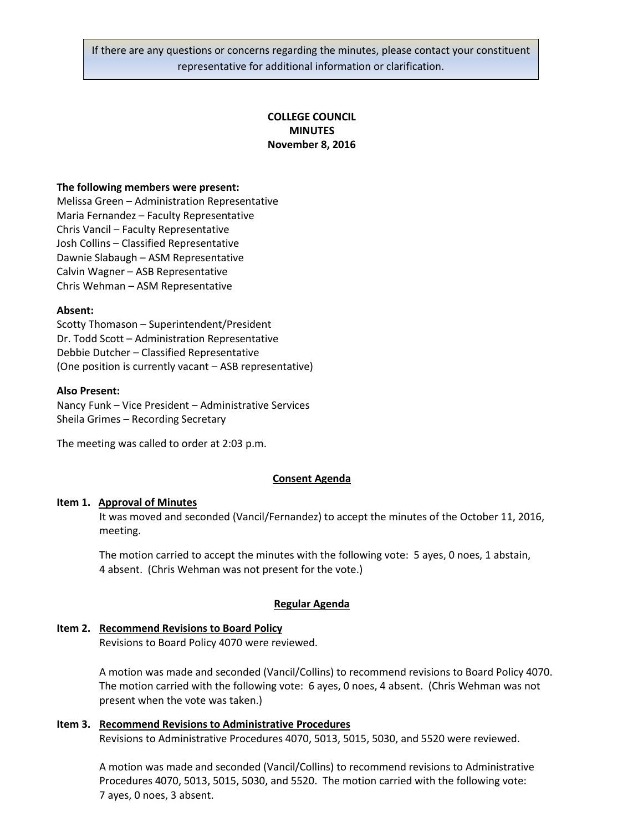If there are any questions or concerns regarding the minutes, please contact your constituent representative for additional information or clarification.

## **COLLEGE COUNCIL MINUTES November 8, 2016**

### **The following members were present:**

Melissa Green – Administration Representative Maria Fernandez – Faculty Representative Chris Vancil – Faculty Representative Josh Collins – Classified Representative Dawnie Slabaugh – ASM Representative Calvin Wagner – ASB Representative Chris Wehman – ASM Representative

#### **Absent:**

Scotty Thomason – Superintendent/President Dr. Todd Scott – Administration Representative Debbie Dutcher – Classified Representative (One position is currently vacant – ASB representative)

#### **Also Present:**

Nancy Funk – Vice President – Administrative Services Sheila Grimes – Recording Secretary

The meeting was called to order at 2:03 p.m.

#### **Consent Agenda**

#### **Item 1. Approval of Minutes**

It was moved and seconded (Vancil/Fernandez) to accept the minutes of the October 11, 2016, meeting.

The motion carried to accept the minutes with the following vote: 5 ayes, 0 noes, 1 abstain, 4 absent. (Chris Wehman was not present for the vote.)

#### **Regular Agenda**

#### **Item 2. Recommend Revisions to Board Policy**

Revisions to Board Policy 4070 were reviewed.

A motion was made and seconded (Vancil/Collins) to recommend revisions to Board Policy 4070. The motion carried with the following vote: 6 ayes, 0 noes, 4 absent. (Chris Wehman was not present when the vote was taken.)

## **Item 3. Recommend Revisions to Administrative Procedures** Revisions to Administrative Procedures 4070, 5013, 5015, 5030, and 5520 were reviewed.

A motion was made and seconded (Vancil/Collins) to recommend revisions to Administrative Procedures 4070, 5013, 5015, 5030, and 5520. The motion carried with the following vote: 7 ayes, 0 noes, 3 absent.